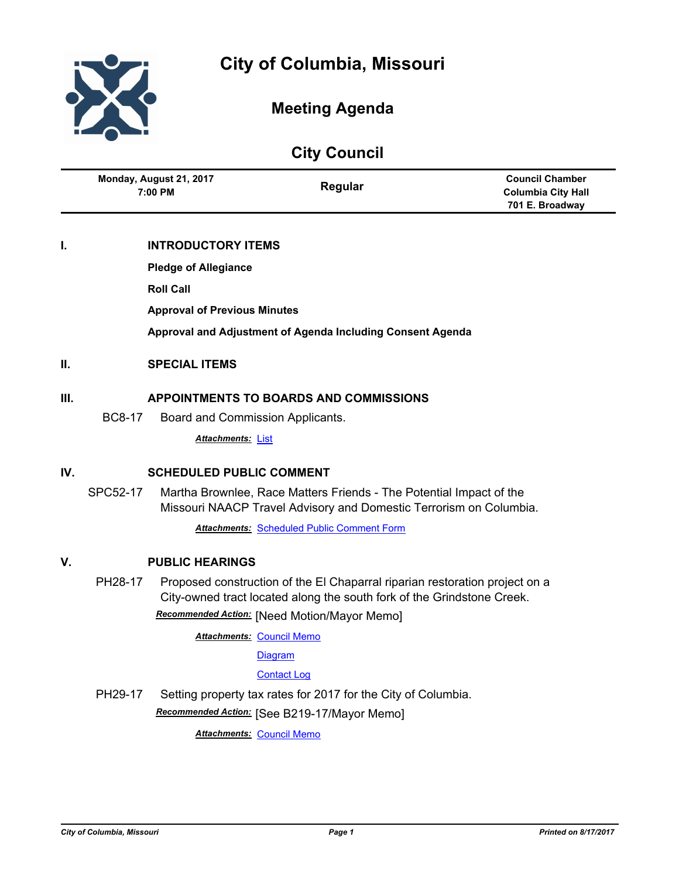

# **Meeting Agenda**

**City Council**

|     | Monday, August 21, 2017<br>$7:00$ PM                     | Regular                                                                                                                                   | <b>Council Chamber</b><br><b>Columbia City Hall</b><br>701 E. Broadway |
|-----|----------------------------------------------------------|-------------------------------------------------------------------------------------------------------------------------------------------|------------------------------------------------------------------------|
| I.  | <b>INTRODUCTORY ITEMS</b><br><b>Pledge of Allegiance</b> |                                                                                                                                           |                                                                        |
|     | <b>Roll Call</b>                                         |                                                                                                                                           |                                                                        |
|     | <b>Approval of Previous Minutes</b>                      | Approval and Adjustment of Agenda Including Consent Agenda                                                                                |                                                                        |
| II. | <b>SPECIAL ITEMS</b>                                     |                                                                                                                                           |                                                                        |
| Ш.  |                                                          | <b>APPOINTMENTS TO BOARDS AND COMMISSIONS</b>                                                                                             |                                                                        |
|     | <b>BC8-17</b><br>Board and Commission Applicants.        |                                                                                                                                           |                                                                        |
|     | <b>Attachments: List</b>                                 |                                                                                                                                           |                                                                        |
| IV. | <b>SCHEDULED PUBLIC COMMENT</b>                          |                                                                                                                                           |                                                                        |
|     | SPC52-17                                                 | Martha Brownlee, Race Matters Friends - The Potential Impact of the<br>Missouri NAACP Travel Advisory and Domestic Terrorism on Columbia. |                                                                        |
|     |                                                          |                                                                                                                                           |                                                                        |

**Attachments: [Scheduled Public Comment Form](http://gocolumbiamo.legistar.com/gateway.aspx?M=F&ID=fd5bfcb0-e69b-4b79-8ea5-22aaaab96c65.pdf)** 

# **V. PUBLIC HEARINGS**

PH28-17 Proposed construction of the El Chaparral riparian restoration project on a City-owned tract located along the south fork of the Grindstone Creek. *Recommended Action:* [Need Motion/Mayor Memo]

**Attachments: [Council Memo](http://gocolumbiamo.legistar.com/gateway.aspx?M=F&ID=51dd578b-3e1b-454f-a6df-02d56b9ec440.docx)** 

**[Diagram](http://gocolumbiamo.legistar.com/gateway.aspx?M=F&ID=a6fd1f66-7f82-44cd-97de-93ef7906b353.pdf)** 

[Contact Log](http://gocolumbiamo.legistar.com/gateway.aspx?M=F&ID=6a418c7b-e917-4a89-9e62-1de42109411c.pdf)

PH29-17 Setting property tax rates for 2017 for the City of Columbia. *Recommended Action:* [See B219-17/Mayor Memo]

*Attachments:* [Council Memo](http://gocolumbiamo.legistar.com/gateway.aspx?M=F&ID=504127eb-5876-4210-861c-d1e049540a35.docx)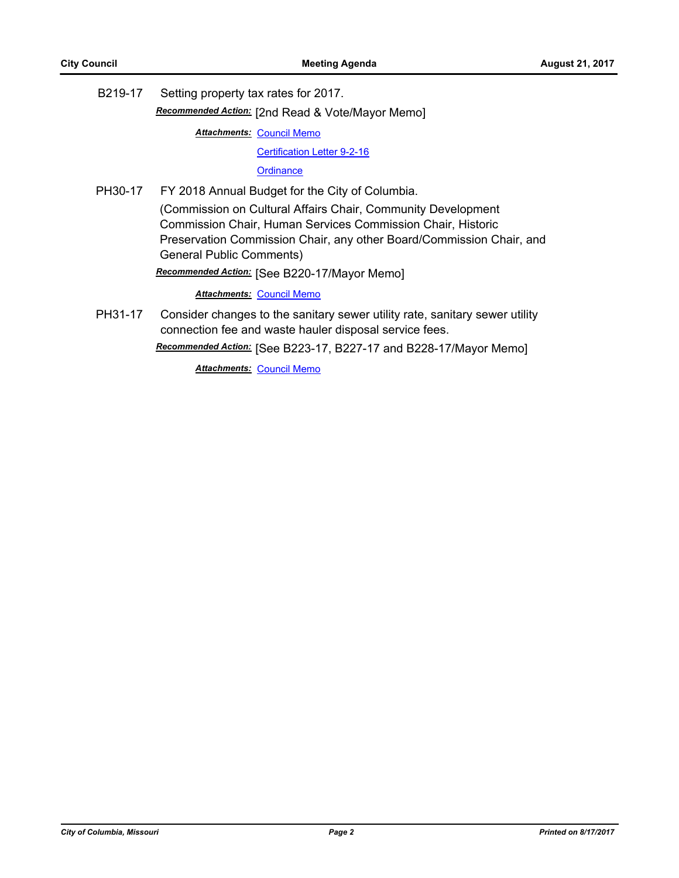B219-17 Setting property tax rates for 2017.

*Recommended Action:* [2nd Read & Vote/Mayor Memo]

**Attachments: [Council Memo](http://gocolumbiamo.legistar.com/gateway.aspx?M=F&ID=f59df8a5-31e9-4c9f-81e1-59b3dec907d3.docx)** 

[Certification Letter 9-2-16](http://gocolumbiamo.legistar.com/gateway.aspx?M=F&ID=d42bb1b1-7ca2-438d-b94d-4c520bfc95d6.pdf)

**[Ordinance](http://gocolumbiamo.legistar.com/gateway.aspx?M=F&ID=0e65537c-b7b0-41ef-8860-d0f711bb7365.doc)** 

PH30-17 FY 2018 Annual Budget for the City of Columbia. (Commission on Cultural Affairs Chair, Community Development Commission Chair, Human Services Commission Chair, Historic Preservation Commission Chair, any other Board/Commission Chair, and General Public Comments)

*Recommended Action:* [See B220-17/Mayor Memo]

*Attachments:* [Council Memo](http://gocolumbiamo.legistar.com/gateway.aspx?M=F&ID=a60dca22-473c-40c1-93a5-772a77cca98f.docx)

PH31-17 Consider changes to the sanitary sewer utility rate, sanitary sewer utility connection fee and waste hauler disposal service fees.

*Recommended Action:* [See B223-17, B227-17 and B228-17/Mayor Memo]

**Attachments: [Council Memo](http://gocolumbiamo.legistar.com/gateway.aspx?M=F&ID=026d0b52-e242-416f-bb81-0b55d5443f8d.docx)**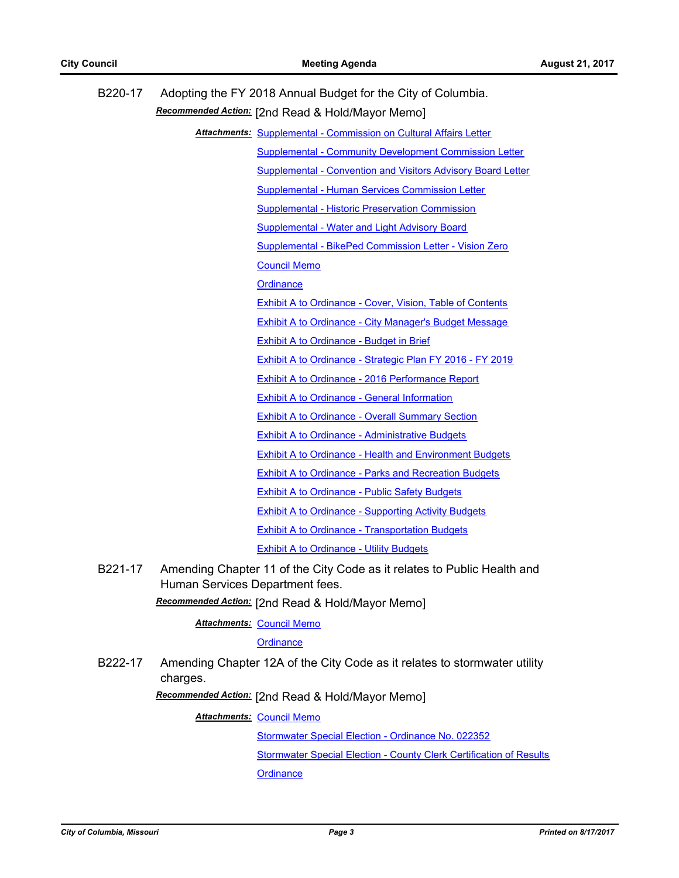| B220-17                          |                                 | Adopting the FY 2018 Annual Budget for the City of Columbia.<br>Recommended Action: [2nd Read & Hold/Mayor Memo] |
|----------------------------------|---------------------------------|------------------------------------------------------------------------------------------------------------------|
|                                  |                                 | <b>Attachments: Supplemental - Commission on Cultural Affairs Letter</b>                                         |
|                                  |                                 | <b>Supplemental - Community Development Commission Letter</b>                                                    |
|                                  |                                 | <b>Supplemental - Convention and Visitors Advisory Board Letter</b>                                              |
|                                  |                                 | Supplemental - Human Services Commission Letter                                                                  |
|                                  |                                 | Supplemental - Historic Preservation Commission                                                                  |
|                                  |                                 | <b>Supplemental - Water and Light Advisory Board</b>                                                             |
|                                  |                                 | Supplemental - BikePed Commission Letter - Vision Zero                                                           |
|                                  |                                 | <b>Council Memo</b>                                                                                              |
|                                  |                                 | Ordinance                                                                                                        |
|                                  |                                 | <b>Exhibit A to Ordinance - Cover, Vision, Table of Contents</b>                                                 |
|                                  |                                 | <b>Exhibit A to Ordinance - City Manager's Budget Message</b>                                                    |
|                                  |                                 | <b>Exhibit A to Ordinance - Budget in Brief</b>                                                                  |
|                                  |                                 | Exhibit A to Ordinance - Strategic Plan FY 2016 - FY 2019                                                        |
|                                  |                                 | Exhibit A to Ordinance - 2016 Performance Report                                                                 |
|                                  |                                 | <b>Exhibit A to Ordinance - General Information</b>                                                              |
|                                  |                                 | <b>Exhibit A to Ordinance - Overall Summary Section</b>                                                          |
|                                  |                                 | <b>Exhibit A to Ordinance - Administrative Budgets</b>                                                           |
|                                  |                                 | <b>Exhibit A to Ordinance - Health and Environment Budgets</b>                                                   |
|                                  |                                 | <b>Exhibit A to Ordinance - Parks and Recreation Budgets</b>                                                     |
|                                  |                                 | <b>Exhibit A to Ordinance - Public Safety Budgets</b>                                                            |
|                                  |                                 | <b>Exhibit A to Ordinance - Supporting Activity Budgets</b>                                                      |
|                                  |                                 | <b>Exhibit A to Ordinance - Transportation Budgets</b>                                                           |
|                                  |                                 | <b>Exhibit A to Ordinance - Utility Budgets</b>                                                                  |
| B221-17                          | Human Services Department fees. | Amending Chapter 11 of the City Code as it relates to Public Health and                                          |
|                                  |                                 | Recommended Action: [2nd Read & Hold/Mayor Memo]                                                                 |
| <b>Attachments: Council Memo</b> |                                 |                                                                                                                  |
|                                  |                                 | <b>Ordinance</b>                                                                                                 |
| B222-17                          | charges.                        | Amending Chapter 12A of the City Code as it relates to stormwater utility                                        |
|                                  |                                 | Recommended Action: [2nd Read & Hold/Mayor Memo]                                                                 |

**Attachments: [Council Memo](http://gocolumbiamo.legistar.com/gateway.aspx?M=F&ID=8cbbd655-cdd1-4c84-abc5-48cae1e2bcc3.docx)** 

[Stormwater Special Election - Ordinance No. 022352](http://gocolumbiamo.legistar.com/gateway.aspx?M=F&ID=78962273-6c13-4cfd-93da-855bcf6b5624.pdf) [Stormwater Special Election - County Clerk Certification of Results](http://gocolumbiamo.legistar.com/gateway.aspx?M=F&ID=b5e825c7-bdcd-46d0-9801-cd52e942b832.pdf) **[Ordinance](http://gocolumbiamo.legistar.com/gateway.aspx?M=F&ID=7c4a466c-1bf8-48e6-9b63-e460de1211ce.doc)**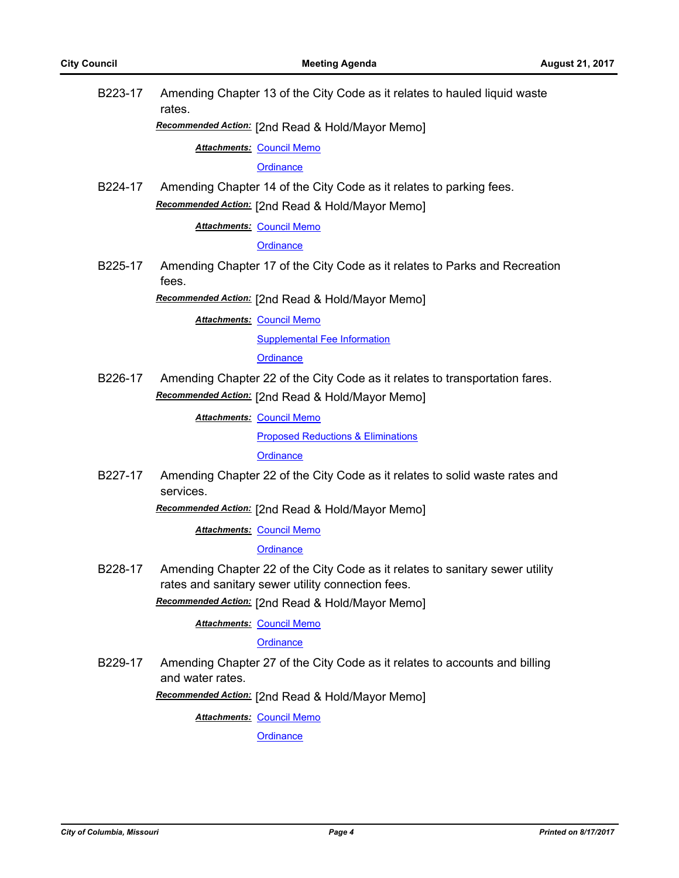| B223-17 | rates.                           | Amending Chapter 13 of the City Code as it relates to hauled liquid waste                                                         |
|---------|----------------------------------|-----------------------------------------------------------------------------------------------------------------------------------|
|         |                                  | Recommended Action: [2nd Read & Hold/Mayor Memo]                                                                                  |
|         | <b>Attachments: Council Memo</b> |                                                                                                                                   |
|         |                                  | Ordinance                                                                                                                         |
| B224-17 |                                  | Amending Chapter 14 of the City Code as it relates to parking fees.                                                               |
|         |                                  | Recommended Action: [2nd Read & Hold/Mayor Memo]                                                                                  |
|         | <b>Attachments: Council Memo</b> |                                                                                                                                   |
|         |                                  | <b>Ordinance</b>                                                                                                                  |
| B225-17 | fees.                            | Amending Chapter 17 of the City Code as it relates to Parks and Recreation                                                        |
|         |                                  | Recommended Action: [2nd Read & Hold/Mayor Memo]                                                                                  |
|         | <b>Attachments: Council Memo</b> |                                                                                                                                   |
|         |                                  | <b>Supplemental Fee Information</b>                                                                                               |
|         |                                  | <b>Ordinance</b>                                                                                                                  |
| B226-17 |                                  | Amending Chapter 22 of the City Code as it relates to transportation fares.                                                       |
|         |                                  | Recommended Action: [2nd Read & Hold/Mayor Memo]                                                                                  |
|         | <b>Attachments: Council Memo</b> |                                                                                                                                   |
|         |                                  | <b>Proposed Reductions &amp; Eliminations</b>                                                                                     |
|         |                                  | <b>Ordinance</b>                                                                                                                  |
| B227-17 | services.                        | Amending Chapter 22 of the City Code as it relates to solid waste rates and                                                       |
|         |                                  | Recommended Action: [2nd Read & Hold/Mayor Memo]                                                                                  |
|         | <b>Attachments: Council Memo</b> |                                                                                                                                   |
|         |                                  | Ordinance                                                                                                                         |
| B228-17 |                                  | Amending Chapter 22 of the City Code as it relates to sanitary sewer utility<br>rates and sanitary sewer utility connection fees. |
|         |                                  | Recommended Action: [2nd Read & Hold/Mayor Memo]                                                                                  |
|         | <b>Attachments: Council Memo</b> |                                                                                                                                   |
|         |                                  | <b>Ordinance</b>                                                                                                                  |
| B229-17 | and water rates.                 | Amending Chapter 27 of the City Code as it relates to accounts and billing                                                        |
|         |                                  | Recommended Action: [2nd Read & Hold/Mayor Memo]                                                                                  |
|         | <b>Attachments: Council Memo</b> |                                                                                                                                   |
|         |                                  | <b>Ordinance</b>                                                                                                                  |
|         |                                  |                                                                                                                                   |
|         |                                  |                                                                                                                                   |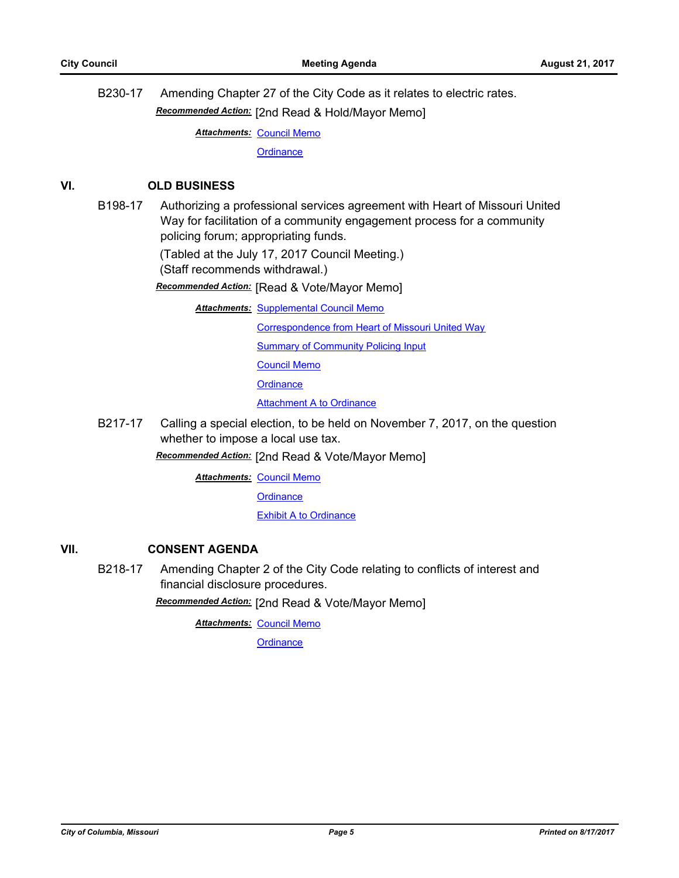B230-17 Amending Chapter 27 of the City Code as it relates to electric rates. *Recommended Action:* [2nd Read & Hold/Mayor Memo]

**Attachments: [Council Memo](http://gocolumbiamo.legistar.com/gateway.aspx?M=F&ID=4246a117-c2fa-4d45-a649-c6a360691788.docx)** 

**[Ordinance](http://gocolumbiamo.legistar.com/gateway.aspx?M=F&ID=9283813f-20d6-47a2-9814-f469ed56e7c6.doc)** 

#### **VI. OLD BUSINESS**

B198-17 Authorizing a professional services agreement with Heart of Missouri United Way for facilitation of a community engagement process for a community policing forum; appropriating funds.

(Tabled at the July 17, 2017 Council Meeting.)

(Staff recommends withdrawal.)

*Recommended Action:* [Read & Vote/Mayor Memo]

**Attachments: [Supplemental Council Memo](http://gocolumbiamo.legistar.com/gateway.aspx?M=F&ID=07bb72b8-5334-4e7c-baf7-c114af4d4724.docx)** 

[Correspondence from Heart of Missouri United Way](http://gocolumbiamo.legistar.com/gateway.aspx?M=F&ID=db02c19e-6473-4291-84ed-512b45bc6e47.pdf)

[Summary of Community Policing Input](http://gocolumbiamo.legistar.com/gateway.aspx?M=F&ID=e2dbac35-6dcb-4415-bc4a-017867ca500c.pdf)

[Council Memo](http://gocolumbiamo.legistar.com/gateway.aspx?M=F&ID=1bcb56b8-c28e-4dc7-8aa0-acb3afbbdb4d.docx)

**[Ordinance](http://gocolumbiamo.legistar.com/gateway.aspx?M=F&ID=5f578436-b1c8-4bbb-856b-80894202aadf.doc)** 

**[Attachment A to Ordinance](http://gocolumbiamo.legistar.com/gateway.aspx?M=F&ID=763c1bd8-6cdd-4d99-a35e-0e627eaad1b4.pdf)** 

B217-17 Calling a special election, to be held on November 7, 2017, on the question whether to impose a local use tax.

*Recommended Action:* [2nd Read & Vote/Mayor Memo]

**Attachments: [Council Memo](http://gocolumbiamo.legistar.com/gateway.aspx?M=F&ID=32b9a64a-e6e8-4fe7-b9d9-e4431a6ac4a7.docx)** 

**[Ordinance](http://gocolumbiamo.legistar.com/gateway.aspx?M=F&ID=23019224-417e-4ee1-a229-22503710a9e4.doc)** 

[Exhibit A to Ordinance](http://gocolumbiamo.legistar.com/gateway.aspx?M=F&ID=0afbdc97-d721-4590-b387-5042db49c127.doc)

### **VII. CONSENT AGENDA**

B218-17 Amending Chapter 2 of the City Code relating to conflicts of interest and financial disclosure procedures.

*Recommended Action:* [2nd Read & Vote/Mayor Memo]

**Attachments: [Council Memo](http://gocolumbiamo.legistar.com/gateway.aspx?M=F&ID=52d81a69-33f7-43e3-80d9-f8b5abba5023.docx)** 

**[Ordinance](http://gocolumbiamo.legistar.com/gateway.aspx?M=F&ID=13ef085c-ba15-4478-b014-b99cc6f6536e.doc)**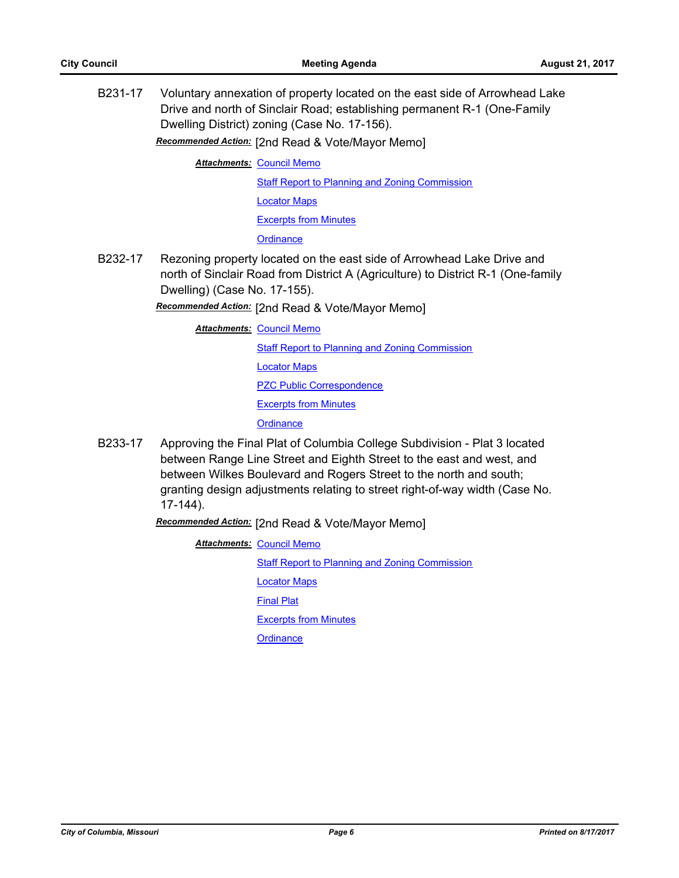B231-17 Voluntary annexation of property located on the east side of Arrowhead Lake Drive and north of Sinclair Road; establishing permanent R-1 (One-Family Dwelling District) zoning (Case No. 17-156).

*Recommended Action:* [2nd Read & Vote/Mayor Memo]

**Attachments: [Council Memo](http://gocolumbiamo.legistar.com/gateway.aspx?M=F&ID=532c927f-87a9-4d96-addc-2a439e4c163a.docx)** 

[Staff Report to Planning and Zoning Commission](http://gocolumbiamo.legistar.com/gateway.aspx?M=F&ID=158699e3-d501-4ddd-ada8-6f3b03d4f4a4.docx)

[Locator Maps](http://gocolumbiamo.legistar.com/gateway.aspx?M=F&ID=16dc4ac0-70aa-4aa8-b50d-1da8c0befe0c.pdf)

[Excerpts from Minutes](http://gocolumbiamo.legistar.com/gateway.aspx?M=F&ID=6ce9d6e3-0333-49da-8ef5-87132c05c131.docx)

**[Ordinance](http://gocolumbiamo.legistar.com/gateway.aspx?M=F&ID=48b9e51a-876b-410f-bbeb-054cd8eb6343.doc)** 

B232-17 Rezoning property located on the east side of Arrowhead Lake Drive and north of Sinclair Road from District A (Agriculture) to District R-1 (One-family Dwelling) (Case No. 17-155).

*Recommended Action:* [2nd Read & Vote/Mayor Memo]

**Attachments: [Council Memo](http://gocolumbiamo.legistar.com/gateway.aspx?M=F&ID=b4f1e70c-1710-42ab-82a7-8ae169a12815.docx)** 

[Staff Report to Planning and Zoning Commission](http://gocolumbiamo.legistar.com/gateway.aspx?M=F&ID=01c9fb19-5008-41a7-9fb1-24fea032449c.docx)

[Locator Maps](http://gocolumbiamo.legistar.com/gateway.aspx?M=F&ID=b6ab7d30-f436-4e09-9352-c176e442a873.pdf)

[PZC Public Correspondence](http://gocolumbiamo.legistar.com/gateway.aspx?M=F&ID=43b6e7c5-d9d9-4df8-8756-a81bdbabe53e.pdf)

[Excerpts from Minutes](http://gocolumbiamo.legistar.com/gateway.aspx?M=F&ID=45962247-c5dd-4327-a79a-75ebb3d156e9.docx)

**[Ordinance](http://gocolumbiamo.legistar.com/gateway.aspx?M=F&ID=d924d4c2-c016-4b13-9601-cdfece92b2ee.doc)** 

B233-17 Approving the Final Plat of Columbia College Subdivision - Plat 3 located between Range Line Street and Eighth Street to the east and west, and between Wilkes Boulevard and Rogers Street to the north and south; granting design adjustments relating to street right-of-way width (Case No. 17-144).

*Recommended Action:* [2nd Read & Vote/Mayor Memo]

**Attachments: [Council Memo](http://gocolumbiamo.legistar.com/gateway.aspx?M=F&ID=9abd50e6-076d-4e1e-8a80-2e712b7b1e64.docx)** 

[Staff Report to Planning and Zoning Commission](http://gocolumbiamo.legistar.com/gateway.aspx?M=F&ID=6ca9ec46-b788-493b-b05a-5ccdaf0a75e4.docx)

[Locator Maps](http://gocolumbiamo.legistar.com/gateway.aspx?M=F&ID=3d53d90d-9d47-4261-b547-e769044c704e.pdf)

[Final Plat](http://gocolumbiamo.legistar.com/gateway.aspx?M=F&ID=745005ce-77de-461b-908b-02634c049db8.pdf)

[Excerpts from Minutes](http://gocolumbiamo.legistar.com/gateway.aspx?M=F&ID=78aac919-762b-49d0-bd51-d4e35e75c0de.docx)

**[Ordinance](http://gocolumbiamo.legistar.com/gateway.aspx?M=F&ID=a74fe8c7-0c3e-4809-8845-537df8af0ebf.doc)**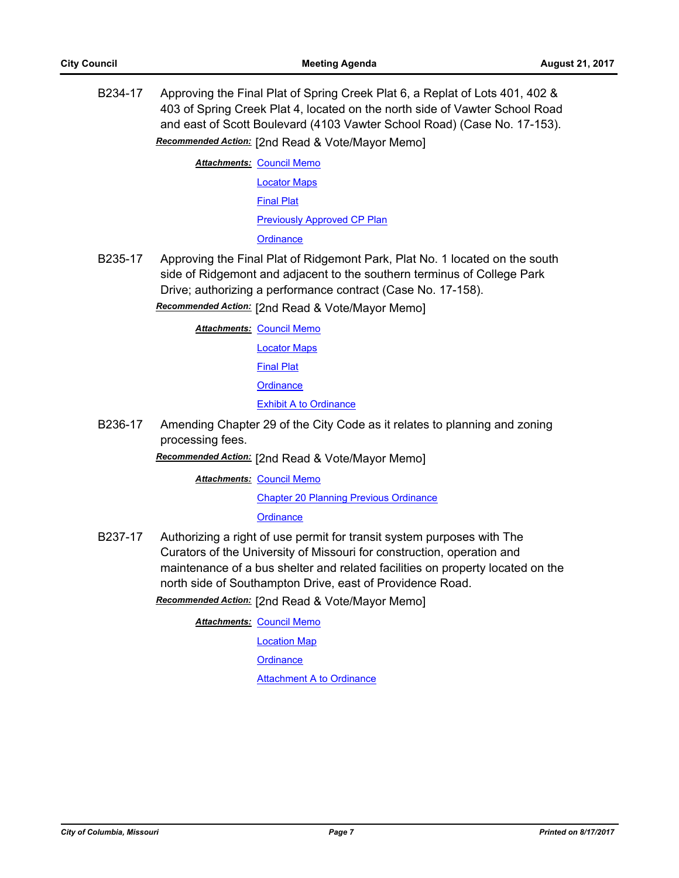B234-17 Approving the Final Plat of Spring Creek Plat 6, a Replat of Lots 401, 402 & 403 of Spring Creek Plat 4, located on the north side of Vawter School Road and east of Scott Boulevard (4103 Vawter School Road) (Case No. 17-153).

*Recommended Action:* [2nd Read & Vote/Mayor Memo]

**Attachments: [Council Memo](http://gocolumbiamo.legistar.com/gateway.aspx?M=F&ID=edfd554c-493e-40ce-ad39-21c5255331dd.docx)** [Locator Maps](http://gocolumbiamo.legistar.com/gateway.aspx?M=F&ID=103e764d-0528-4c29-932d-2fd7f284f2ea.pdf) [Final Plat](http://gocolumbiamo.legistar.com/gateway.aspx?M=F&ID=9590b2c7-5ba6-4726-8052-17773f2529df.pdf) [Previously Approved CP Plan](http://gocolumbiamo.legistar.com/gateway.aspx?M=F&ID=ad4e373d-79ca-4e81-842f-f0d4b02c01a7.pdf) **[Ordinance](http://gocolumbiamo.legistar.com/gateway.aspx?M=F&ID=e70d9642-821f-4292-9c15-edead559ed32.doc)** 

B235-17 Approving the Final Plat of Ridgemont Park, Plat No. 1 located on the south side of Ridgemont and adjacent to the southern terminus of College Park Drive; authorizing a performance contract (Case No. 17-158).

*Recommended Action:* [2nd Read & Vote/Mayor Memo]

**Attachments: [Council Memo](http://gocolumbiamo.legistar.com/gateway.aspx?M=F&ID=84933c8e-fa77-43a8-8162-91d154e7b83c.docx)** 

[Locator Maps](http://gocolumbiamo.legistar.com/gateway.aspx?M=F&ID=e65ecd65-2910-4eed-8678-2c01ec7d33b3.pdf)

[Final Plat](http://gocolumbiamo.legistar.com/gateway.aspx?M=F&ID=0944b790-6c00-4a11-a7ac-66d32ddf5f99.pdf)

**[Ordinance](http://gocolumbiamo.legistar.com/gateway.aspx?M=F&ID=41b2b6ef-fcfc-45e6-a7f0-096f3215e6aa.doc)** 

[Exhibit A to Ordinance](http://gocolumbiamo.legistar.com/gateway.aspx?M=F&ID=61378713-4a47-44ea-ade2-b42c98e30d7e.pdf)

B236-17 Amending Chapter 29 of the City Code as it relates to planning and zoning processing fees.

*Recommended Action:* [2nd Read & Vote/Mayor Memo]

**Attachments: [Council Memo](http://gocolumbiamo.legistar.com/gateway.aspx?M=F&ID=fd2b91ee-befa-4a50-9092-42d34e48c357.docx)** 

[Chapter 20 Planning Previous Ordinance](http://gocolumbiamo.legistar.com/gateway.aspx?M=F&ID=5190ab8c-88a8-4ec9-82a6-c1cdc36280e2.pdf)

**[Ordinance](http://gocolumbiamo.legistar.com/gateway.aspx?M=F&ID=7225e136-3681-4fdf-a62d-76ace84c622b.doc)** 

B237-17 Authorizing a right of use permit for transit system purposes with The Curators of the University of Missouri for construction, operation and maintenance of a bus shelter and related facilities on property located on the north side of Southampton Drive, east of Providence Road.

*Recommended Action:* [2nd Read & Vote/Mayor Memo]

**Attachments: [Council Memo](http://gocolumbiamo.legistar.com/gateway.aspx?M=F&ID=0e46d7d6-c579-4ad8-8e8a-c463c103e69c.docx)** 

[Location Map](http://gocolumbiamo.legistar.com/gateway.aspx?M=F&ID=4612d752-aebf-4780-8c94-0940e3c77aa8.pdf)

**[Ordinance](http://gocolumbiamo.legistar.com/gateway.aspx?M=F&ID=106fc39f-953b-4c76-9d91-23720c4dd598.doc)** 

[Attachment A to Ordinance](http://gocolumbiamo.legistar.com/gateway.aspx?M=F&ID=c05efda7-8b74-45a4-be9f-309c20a332db.pdf)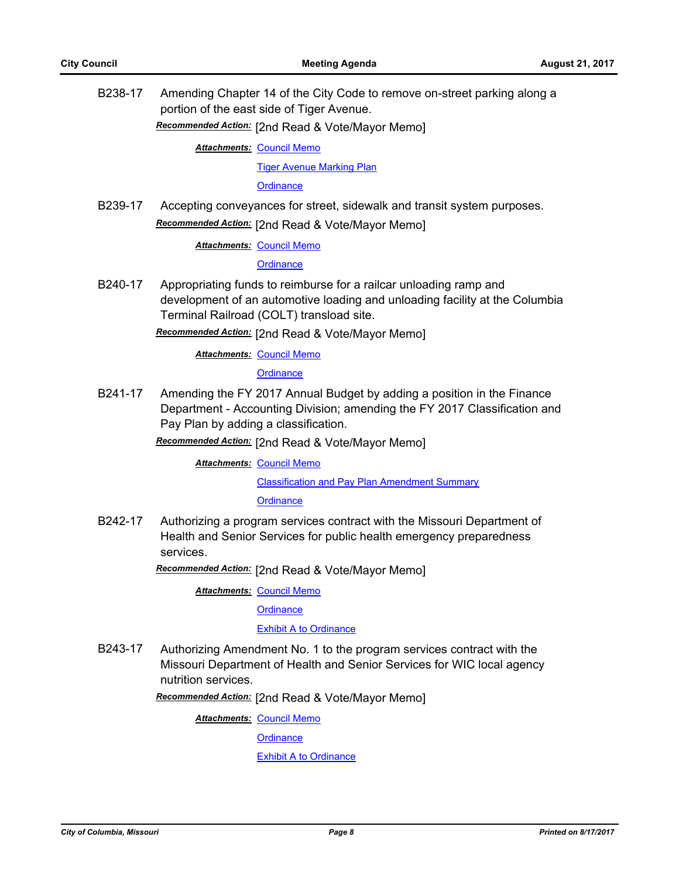B238-17 Amending Chapter 14 of the City Code to remove on-street parking along a portion of the east side of Tiger Avenue.

*Recommended Action:* [2nd Read & Vote/Mayor Memo]

**Attachments: [Council Memo](http://gocolumbiamo.legistar.com/gateway.aspx?M=F&ID=35d0d5a3-cdf3-44f2-a1b6-284bf1790760.docx)** 

[Tiger Avenue Marking Plan](http://gocolumbiamo.legistar.com/gateway.aspx?M=F&ID=115fd88f-aed6-4491-9816-a2beb6c42f54.pdf)

**[Ordinance](http://gocolumbiamo.legistar.com/gateway.aspx?M=F&ID=7760ff1d-4cc5-4635-9491-cba82a09a4e9.doc)** 

B239-17 Accepting conveyances for street, sidewalk and transit system purposes. *Recommended Action:* [2nd Read & Vote/Mayor Memo]

**Attachments: [Council Memo](http://gocolumbiamo.legistar.com/gateway.aspx?M=F&ID=aa394e22-25f6-43a1-b078-37e2106b4a8d.docx)** 

**[Ordinance](http://gocolumbiamo.legistar.com/gateway.aspx?M=F&ID=e46f4eae-b884-4a64-8be8-3b65f1f93694.doc)** 

B240-17 Appropriating funds to reimburse for a railcar unloading ramp and development of an automotive loading and unloading facility at the Columbia Terminal Railroad (COLT) transload site.

*Recommended Action:* [2nd Read & Vote/Mayor Memo]

**Attachments: [Council Memo](http://gocolumbiamo.legistar.com/gateway.aspx?M=F&ID=3930044a-2bb7-4bbe-bee9-89bb8b5bb95b.docx)** 

**[Ordinance](http://gocolumbiamo.legistar.com/gateway.aspx?M=F&ID=8a8321c1-fd71-46c7-9ce0-2743e5d5a9cc.doc)** 

B241-17 Amending the FY 2017 Annual Budget by adding a position in the Finance Department - Accounting Division; amending the FY 2017 Classification and Pay Plan by adding a classification.

*Recommended Action:* [2nd Read & Vote/Mayor Memo]

**Attachments: [Council Memo](http://gocolumbiamo.legistar.com/gateway.aspx?M=F&ID=3acdd38f-cdae-47c4-9a94-322f91e7353d.docx)** 

[Classification and Pay Plan Amendment Summary](http://gocolumbiamo.legistar.com/gateway.aspx?M=F&ID=8254864a-71e1-41ba-a967-efba2d369662.doc)

**[Ordinance](http://gocolumbiamo.legistar.com/gateway.aspx?M=F&ID=30bc8b64-15e9-4a96-bf31-36f22072abfa.doc)** 

B242-17 Authorizing a program services contract with the Missouri Department of Health and Senior Services for public health emergency preparedness services.

*Recommended Action:* [2nd Read & Vote/Mayor Memo]

**Attachments: [Council Memo](http://gocolumbiamo.legistar.com/gateway.aspx?M=F&ID=759efbe4-2f62-494b-99f5-8b5ded0d86de.docx)** 

**[Ordinance](http://gocolumbiamo.legistar.com/gateway.aspx?M=F&ID=69bc2f53-33c0-4b99-bf83-ade151c2be46.doc)** 

#### **[Exhibit A to Ordinance](http://gocolumbiamo.legistar.com/gateway.aspx?M=F&ID=c5eb8d25-3dfd-4a10-9218-8c4075479823.pdf)**

B243-17 Authorizing Amendment No. 1 to the program services contract with the Missouri Department of Health and Senior Services for WIC local agency nutrition services.

*Recommended Action:* [2nd Read & Vote/Mayor Memo]

**Attachments: [Council Memo](http://gocolumbiamo.legistar.com/gateway.aspx?M=F&ID=7826e5bf-0161-41fb-b562-92048d0a0817.docx)** 

**[Ordinance](http://gocolumbiamo.legistar.com/gateway.aspx?M=F&ID=441f5ae7-2711-46ad-8236-a50b433bf5b0.doc)** 

**[Exhibit A to Ordinance](http://gocolumbiamo.legistar.com/gateway.aspx?M=F&ID=7603c470-04f6-4d8d-bbb1-184d6c5f63cb.pdf)**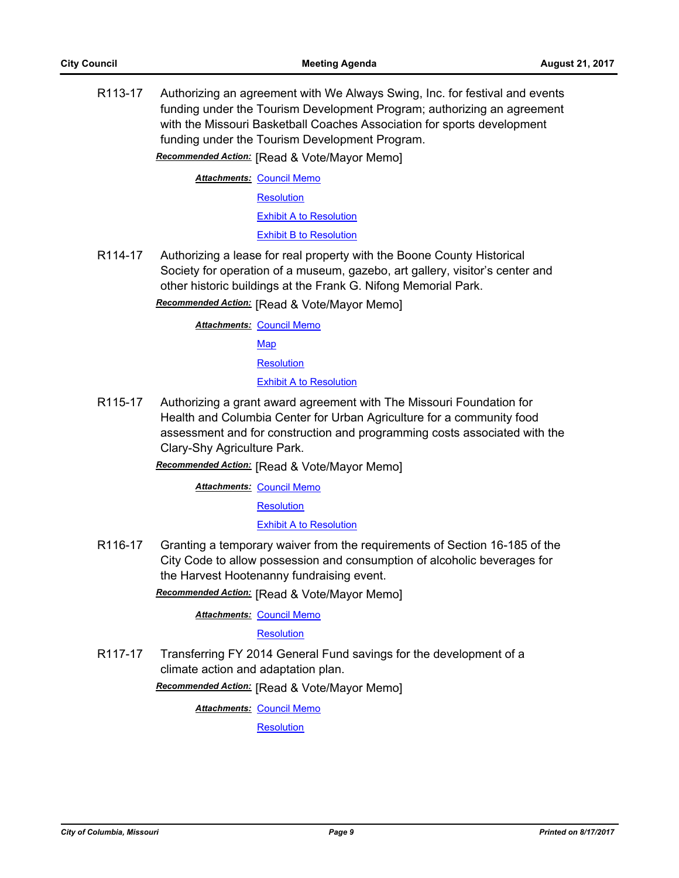R113-17 Authorizing an agreement with We Always Swing, Inc. for festival and events funding under the Tourism Development Program; authorizing an agreement with the Missouri Basketball Coaches Association for sports development funding under the Tourism Development Program. *Recommended Action:* [Read & Vote/Mayor Memo]

**Attachments: [Council Memo](http://gocolumbiamo.legistar.com/gateway.aspx?M=F&ID=261a7097-cee4-4860-9e4e-092c98ce4db6.docx)** 

**[Resolution](http://gocolumbiamo.legistar.com/gateway.aspx?M=F&ID=33703178-41f8-48c2-9da1-1b392574586b.doc)** 

[Exhibit A to Resolution](http://gocolumbiamo.legistar.com/gateway.aspx?M=F&ID=445695ff-9284-4804-a719-5ce50d659d48.doc)

[Exhibit B to Resolution](http://gocolumbiamo.legistar.com/gateway.aspx?M=F&ID=a0f9a741-0a52-403a-bbee-20d4fb4ddc29.doc)

R114-17 Authorizing a lease for real property with the Boone County Historical Society for operation of a museum, gazebo, art gallery, visitor's center and other historic buildings at the Frank G. Nifong Memorial Park.

*Recommended Action:* [Read & Vote/Mayor Memo]

**Attachments: [Council Memo](http://gocolumbiamo.legistar.com/gateway.aspx?M=F&ID=5901d002-891e-442b-9637-d75aeac140bf.docx)** 

[Map](http://gocolumbiamo.legistar.com/gateway.aspx?M=F&ID=cb98a66d-55d6-4dd1-9613-bac733fcda97.pdf)

**[Resolution](http://gocolumbiamo.legistar.com/gateway.aspx?M=F&ID=e033f997-753d-457e-b2e1-29fde7133eca.doc)** 

[Exhibit A to Resolution](http://gocolumbiamo.legistar.com/gateway.aspx?M=F&ID=57338bdf-5832-42c8-86bf-03441fe47e1f.pdf)

R115-17 Authorizing a grant award agreement with The Missouri Foundation for Health and Columbia Center for Urban Agriculture for a community food assessment and for construction and programming costs associated with the Clary-Shy Agriculture Park.

*Recommended Action:* [Read & Vote/Mayor Memo]

**Attachments: [Council Memo](http://gocolumbiamo.legistar.com/gateway.aspx?M=F&ID=8578fa1f-9819-4221-97fa-e89a239a15ef.docx)** 

**[Resolution](http://gocolumbiamo.legistar.com/gateway.aspx?M=F&ID=ae355375-4e19-46f9-931a-3ba5598e85a2.doc)** 

[Exhibit A to Resolution](http://gocolumbiamo.legistar.com/gateway.aspx?M=F&ID=7a535bb9-ce6b-41bc-bc50-5f4d9155a6ba.pdf)

R116-17 Granting a temporary waiver from the requirements of Section 16-185 of the City Code to allow possession and consumption of alcoholic beverages for the Harvest Hootenanny fundraising event.

*Recommended Action:* [Read & Vote/Mayor Memo]

**Attachments: [Council Memo](http://gocolumbiamo.legistar.com/gateway.aspx?M=F&ID=fe9f2ab8-0e96-446a-9256-7e8194b9114c.docx)** 

**[Resolution](http://gocolumbiamo.legistar.com/gateway.aspx?M=F&ID=4306dc4f-07c7-4360-88b0-429f644c4f23.doc)** 

R117-17 Transferring FY 2014 General Fund savings for the development of a climate action and adaptation plan.

*Recommended Action:* [Read & Vote/Mayor Memo]

**Attachments: [Council Memo](http://gocolumbiamo.legistar.com/gateway.aspx?M=F&ID=f5e12c52-8b23-4097-aea5-c6a083f1c87a.docx)** 

**[Resolution](http://gocolumbiamo.legistar.com/gateway.aspx?M=F&ID=ddccbfc5-47e8-42c9-903c-acbda78ac04b.doc)**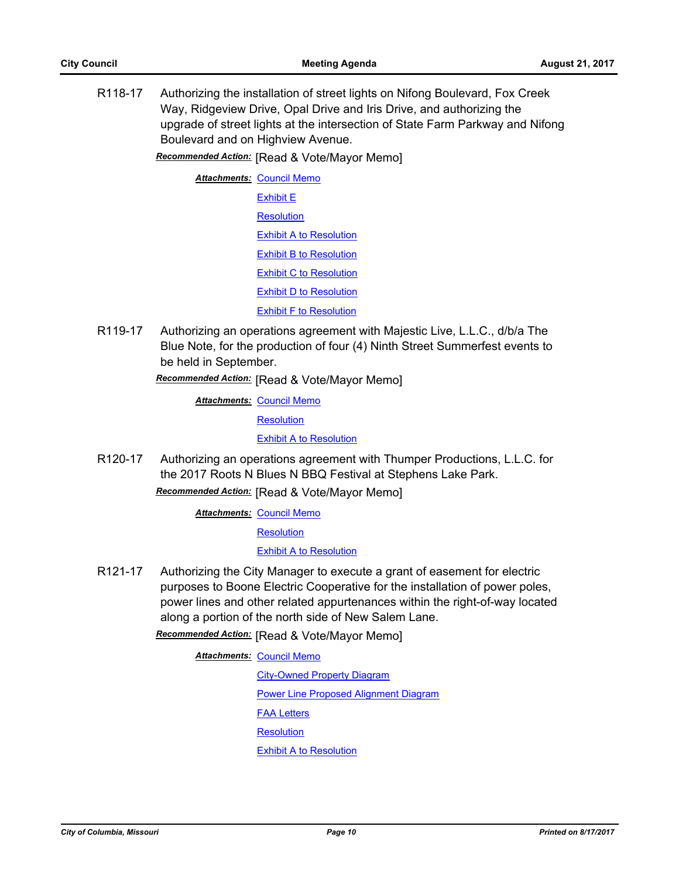R118-17 Authorizing the installation of street lights on Nifong Boulevard, Fox Creek Way, Ridgeview Drive, Opal Drive and Iris Drive, and authorizing the upgrade of street lights at the intersection of State Farm Parkway and Nifong Boulevard and on Highview Avenue.

*Recommended Action:* [Read & Vote/Mayor Memo]

**Attachments: [Council Memo](http://gocolumbiamo.legistar.com/gateway.aspx?M=F&ID=d7dd87b6-b6f9-44e5-9282-78c54621a03a.docx)** [Exhibit E](http://gocolumbiamo.legistar.com/gateway.aspx?M=F&ID=c7ef3dda-0bed-4738-847b-8a30db39758d.jpg) **[Resolution](http://gocolumbiamo.legistar.com/gateway.aspx?M=F&ID=38953cc0-764e-4c48-8e60-52265b042731.doc)** [Exhibit A to Resolution](http://gocolumbiamo.legistar.com/gateway.aspx?M=F&ID=9bf3b455-972e-453d-8574-7d689a7d1c25.png) [Exhibit B to Resolution](http://gocolumbiamo.legistar.com/gateway.aspx?M=F&ID=98f2a22b-ddc6-45eb-8107-7bc48d979251.png) [Exhibit C to Resolution](http://gocolumbiamo.legistar.com/gateway.aspx?M=F&ID=2b6b2b16-8f24-4a94-9f9b-12a7a3e4835e.png) [Exhibit D to Resolution](http://gocolumbiamo.legistar.com/gateway.aspx?M=F&ID=a5f88332-01bd-4f68-9356-3a99fb3fb64d.png) [Exhibit F to Resolution](http://gocolumbiamo.legistar.com/gateway.aspx?M=F&ID=0df90e04-1ce5-4d01-92d7-33a446bd3b56.png)

R119-17 Authorizing an operations agreement with Majestic Live, L.L.C., d/b/a The Blue Note, for the production of four (4) Ninth Street Summerfest events to be held in September.

*Recommended Action:* [Read & Vote/Mayor Memo]

**Attachments: [Council Memo](http://gocolumbiamo.legistar.com/gateway.aspx?M=F&ID=75bec1ee-afd4-494a-924f-f1edee993c2b.docx)** 

**[Resolution](http://gocolumbiamo.legistar.com/gateway.aspx?M=F&ID=dc705bda-0def-4f85-8895-0dc1245f78c7.doc)** 

[Exhibit A to Resolution](http://gocolumbiamo.legistar.com/gateway.aspx?M=F&ID=7fa37c96-4f28-44c0-b014-3a6b3acce628.pdf)

R120-17 Authorizing an operations agreement with Thumper Productions, L.L.C. for the 2017 Roots N Blues N BBQ Festival at Stephens Lake Park.

*Recommended Action:* [Read & Vote/Mayor Memo]

**Attachments: [Council Memo](http://gocolumbiamo.legistar.com/gateway.aspx?M=F&ID=b6386368-3cf8-4792-8591-a90bffa526af.docx)** 

**[Resolution](http://gocolumbiamo.legistar.com/gateway.aspx?M=F&ID=ee10dc8b-8afd-4089-a3e6-5cf5f63bdbbb.doc)** 

[Exhibit A to Resolution](http://gocolumbiamo.legistar.com/gateway.aspx?M=F&ID=bc78a6f2-3072-452f-a9db-e1ba8615bdd1.pdf)

R121-17 Authorizing the City Manager to execute a grant of easement for electric purposes to Boone Electric Cooperative for the installation of power poles, power lines and other related appurtenances within the right-of-way located along a portion of the north side of New Salem Lane.

*Recommended Action:* [Read & Vote/Mayor Memo]

**Attachments: [Council Memo](http://gocolumbiamo.legistar.com/gateway.aspx?M=F&ID=faba8944-62ad-4751-a562-e4a02b0558ab.docx)** 

[City-Owned Property Diagram](http://gocolumbiamo.legistar.com/gateway.aspx?M=F&ID=f623b428-ee04-48f9-b9e2-aada4ef68c60.docx) [Power Line Proposed Alignment Diagram](http://gocolumbiamo.legistar.com/gateway.aspx?M=F&ID=7c88d4b0-ca59-438b-b018-d528783b3304.docx) [FAA Letters](http://gocolumbiamo.legistar.com/gateway.aspx?M=F&ID=ec88e8a8-ff69-4a16-bec7-c753f8f484d5.pdf) **[Resolution](http://gocolumbiamo.legistar.com/gateway.aspx?M=F&ID=d4b0a1a4-cb32-4ef5-9894-44424b8eafd9.doc) [Exhibit A to Resolution](http://gocolumbiamo.legistar.com/gateway.aspx?M=F&ID=989bd5fb-3151-4975-a21b-d5e9ea01ddc2.pdf)**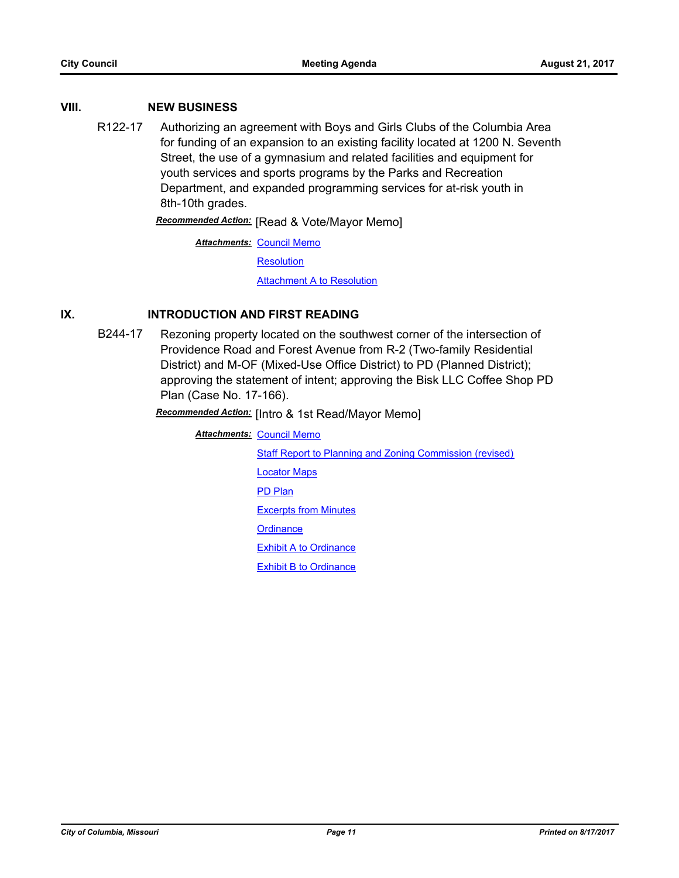#### **VIII. NEW BUSINESS**

R122-17 Authorizing an agreement with Boys and Girls Clubs of the Columbia Area for funding of an expansion to an existing facility located at 1200 N. Seventh Street, the use of a gymnasium and related facilities and equipment for youth services and sports programs by the Parks and Recreation Department, and expanded programming services for at-risk youth in 8th-10th grades.

*Recommended Action:* [Read & Vote/Mayor Memo]

**Attachments: [Council Memo](http://gocolumbiamo.legistar.com/gateway.aspx?M=F&ID=9fb61cef-e371-4f3c-8250-fa0a9b3b4439.docx)** 

**[Resolution](http://gocolumbiamo.legistar.com/gateway.aspx?M=F&ID=38676450-3eb1-47f8-bce6-24faa6ff9299.doc)** 

**[Attachment A to Resolution](http://gocolumbiamo.legistar.com/gateway.aspx?M=F&ID=135d73bd-e823-4585-a515-60e6e5fc1c8d.pdf)** 

#### **IX. INTRODUCTION AND FIRST READING**

B244-17 Rezoning property located on the southwest corner of the intersection of Providence Road and Forest Avenue from R-2 (Two-family Residential District) and M-OF (Mixed-Use Office District) to PD (Planned District); approving the statement of intent; approving the Bisk LLC Coffee Shop PD Plan (Case No. 17-166).

*Recommended Action:* [Intro & 1st Read/Mayor Memo]

**Attachments: [Council Memo](http://gocolumbiamo.legistar.com/gateway.aspx?M=F&ID=c6153469-8b54-4344-8c8a-b884e68d3ce1.docx)** [Staff Report to Planning and Zoning Commission \(revised\)](http://gocolumbiamo.legistar.com/gateway.aspx?M=F&ID=6c09af8b-9765-4b92-a4e6-09a7d2c1dee5.docx) [Locator Maps](http://gocolumbiamo.legistar.com/gateway.aspx?M=F&ID=3fb0d549-2bd9-427a-adba-fc69384ecfe4.pdf) [PD Plan](http://gocolumbiamo.legistar.com/gateway.aspx?M=F&ID=6b723c9c-1996-4cf2-9e76-1acbd5b259e7.pdf) [Excerpts from Minutes](http://gocolumbiamo.legistar.com/gateway.aspx?M=F&ID=0677842f-bb41-44e6-89e2-74878b97d28d.pdf) **[Ordinance](http://gocolumbiamo.legistar.com/gateway.aspx?M=F&ID=1b01f5f1-4add-4640-9ec6-4444b75bb4fa.doc)** [Exhibit A to Ordinance](http://gocolumbiamo.legistar.com/gateway.aspx?M=F&ID=c321bc39-166e-4090-a955-f9519113c391.pdf) [Exhibit B to Ordinance](http://gocolumbiamo.legistar.com/gateway.aspx?M=F&ID=e80f25c0-6059-4b34-b85e-6f3e94723a1e.pdf)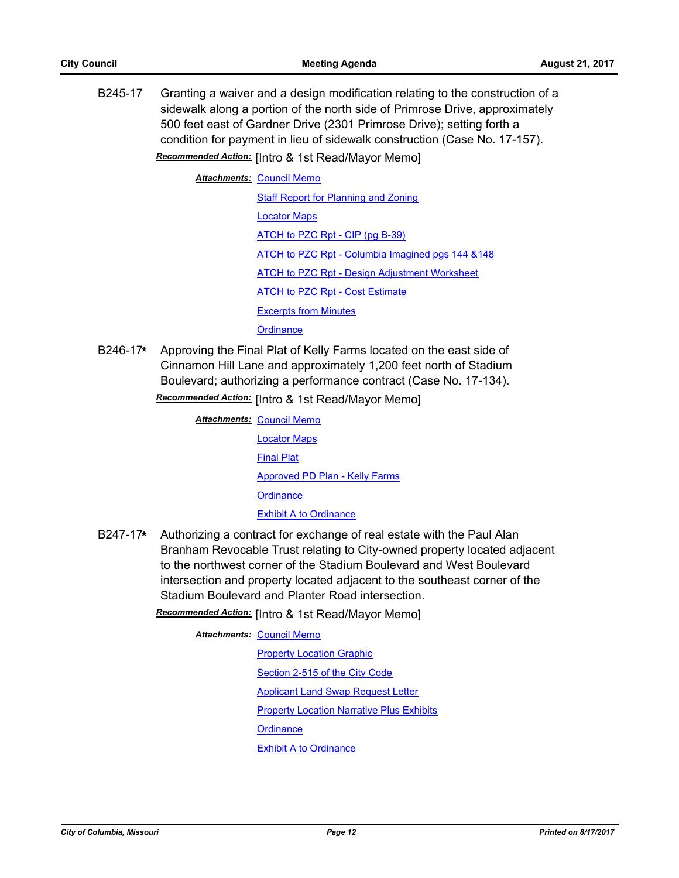B245-17 Granting a waiver and a design modification relating to the construction of a sidewalk along a portion of the north side of Primrose Drive, approximately 500 feet east of Gardner Drive (2301 Primrose Drive); setting forth a condition for payment in lieu of sidewalk construction (Case No. 17-157). *Recommended Action:* [Intro & 1st Read/Mayor Memo]

**Attachments: [Council Memo](http://gocolumbiamo.legistar.com/gateway.aspx?M=F&ID=f9bab337-f60a-4337-8cf5-dc945bb7ac61.docx)** 

[Staff Report for Planning and Zoning](http://gocolumbiamo.legistar.com/gateway.aspx?M=F&ID=909dd60a-8bb9-4655-92d0-88c1c6e3ed44.pdf) [Locator Maps](http://gocolumbiamo.legistar.com/gateway.aspx?M=F&ID=8e168b2e-b1e9-4317-ae3b-317727b280fe.pdf) [ATCH to PZC Rpt - CIP \(pg B-39\)](http://gocolumbiamo.legistar.com/gateway.aspx?M=F&ID=98057aee-6cdc-4456-b873-a90df2024f60.pdf) [ATCH to PZC Rpt - Columbia Imagined pgs 144 &148](http://gocolumbiamo.legistar.com/gateway.aspx?M=F&ID=f8b6f445-8b05-40ec-92c2-95acebced804.pdf) [ATCH to PZC Rpt - Design Adjustment Worksheet](http://gocolumbiamo.legistar.com/gateway.aspx?M=F&ID=d5395f31-b7e2-439b-9f6f-6dbdb5a97a21.pdf) [ATCH to PZC Rpt - Cost Estimate](http://gocolumbiamo.legistar.com/gateway.aspx?M=F&ID=0baa6ceb-7bdc-4b0d-9188-f3b685419fa9.pdf) [Excerpts from Minutes](http://gocolumbiamo.legistar.com/gateway.aspx?M=F&ID=0a5498e9-3df6-4779-b4ae-d17b74effa2c.docx) **[Ordinance](http://gocolumbiamo.legistar.com/gateway.aspx?M=F&ID=26a57362-c812-4299-b4c5-6c5386d69d53.doc)** 

B246-17**\*** Approving the Final Plat of Kelly Farms located on the east side of Cinnamon Hill Lane and approximately 1,200 feet north of Stadium Boulevard; authorizing a performance contract (Case No. 17-134). *Recommended Action:* [Intro & 1st Read/Mayor Memo]

> **Attachments: [Council Memo](http://gocolumbiamo.legistar.com/gateway.aspx?M=F&ID=4786cb73-40fb-4e30-9337-8425711909fb.docx)** [Locator Maps](http://gocolumbiamo.legistar.com/gateway.aspx?M=F&ID=6f08ae52-0d94-4d3d-ae37-41a7fb11b997.pdf) [Final Plat](http://gocolumbiamo.legistar.com/gateway.aspx?M=F&ID=4fdfdbf1-e8c1-43e0-a4f7-fb600f611f6a.pdf) [Approved PD Plan - Kelly Farms](http://gocolumbiamo.legistar.com/gateway.aspx?M=F&ID=ab1a6d27-0413-44d5-9300-5519f784de48.pdf) **[Ordinance](http://gocolumbiamo.legistar.com/gateway.aspx?M=F&ID=dbb450d7-f29a-4089-8772-b24681351ba4.doc)** [Exhibit A to Ordinance](http://gocolumbiamo.legistar.com/gateway.aspx?M=F&ID=aa4d4b7f-5a16-404b-a397-779535b7d21c.pdf)

B247-17**\*** Authorizing a contract for exchange of real estate with the Paul Alan Branham Revocable Trust relating to City-owned property located adjacent to the northwest corner of the Stadium Boulevard and West Boulevard intersection and property located adjacent to the southeast corner of the Stadium Boulevard and Planter Road intersection.

*Recommended Action:* [Intro & 1st Read/Mayor Memo]

**Attachments: [Council Memo](http://gocolumbiamo.legistar.com/gateway.aspx?M=F&ID=103100d3-9d92-402d-84f8-2efb66efba55.docx) [Property Location Graphic](http://gocolumbiamo.legistar.com/gateway.aspx?M=F&ID=b57539a7-863a-44b8-99b9-4bb1f7083ae6.pdf)** [Section 2-515 of the City Code](http://gocolumbiamo.legistar.com/gateway.aspx?M=F&ID=1425d8c3-1f39-44eb-b5a6-b3fcbd943753.pdf) [Applicant Land Swap Request Letter](http://gocolumbiamo.legistar.com/gateway.aspx?M=F&ID=f92dff4e-bdf2-4a99-9dad-c836f24d5422.pdf) [Property Location Narrative Plus Exhibits](http://gocolumbiamo.legistar.com/gateway.aspx?M=F&ID=dc221c67-63b4-4e0b-ba32-fa1563a1da35.pdf) **[Ordinance](http://gocolumbiamo.legistar.com/gateway.aspx?M=F&ID=40aec273-100e-43c6-a618-ee9d56ef6afd.doc)** 

[Exhibit A to Ordinance](http://gocolumbiamo.legistar.com/gateway.aspx?M=F&ID=a1cf8ae8-cdf1-497c-861b-2323b97e0abb.pdf)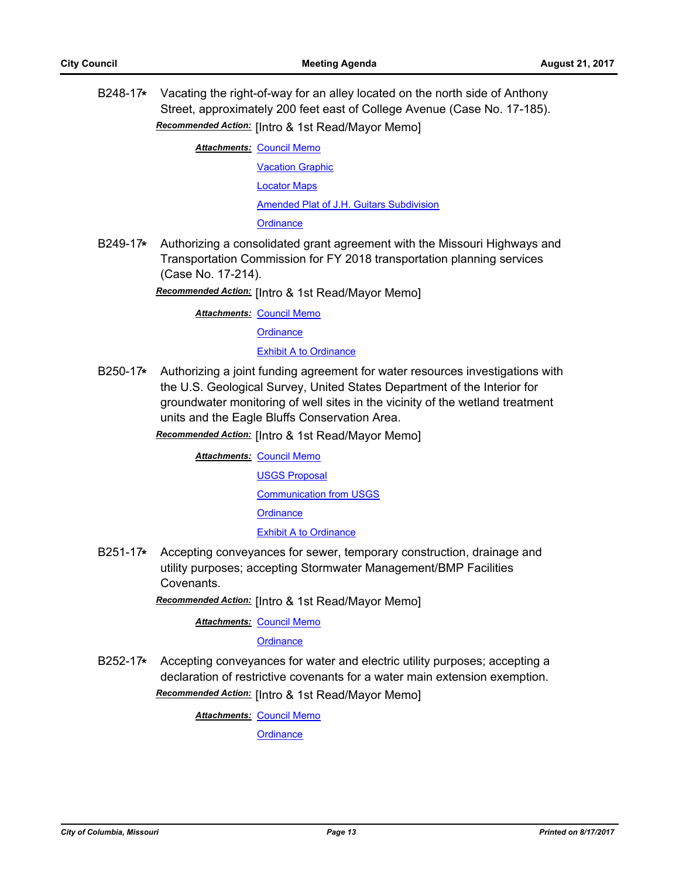B248-17**\*** Vacating the right-of-way for an alley located on the north side of Anthony Street, approximately 200 feet east of College Avenue (Case No. 17-185). *Recommended Action:* [Intro & 1st Read/Mayor Memo]

**Attachments: [Council Memo](http://gocolumbiamo.legistar.com/gateway.aspx?M=F&ID=9acb900f-cbf9-4ca9-8cc9-ae0c5fd47a5c.docx)** 

[Vacation Graphic](http://gocolumbiamo.legistar.com/gateway.aspx?M=F&ID=30905f69-a789-4c5e-9ba0-1d3ad9927399.pdf) [Locator Maps](http://gocolumbiamo.legistar.com/gateway.aspx?M=F&ID=c898d8a4-c9c2-4e08-ad8b-0118455e877a.pdf) [Amended Plat of J.H. Guitars Subdivision](http://gocolumbiamo.legistar.com/gateway.aspx?M=F&ID=b948e67f-1f2e-499f-9614-272c8af10ae8.pdf) **[Ordinance](http://gocolumbiamo.legistar.com/gateway.aspx?M=F&ID=5f06cb4b-e4c0-4f7b-95b9-7a0fe6e6211c.doc)** 

B249-17**\*** Authorizing a consolidated grant agreement with the Missouri Highways and Transportation Commission for FY 2018 transportation planning services (Case No. 17-214).

*Recommended Action:* [Intro & 1st Read/Mayor Memo]

**Attachments: [Council Memo](http://gocolumbiamo.legistar.com/gateway.aspx?M=F&ID=875ec2b7-2712-49b5-9865-e96bb7b73035.docx)** 

**[Ordinance](http://gocolumbiamo.legistar.com/gateway.aspx?M=F&ID=9376bcc1-41f5-4b1d-aaad-8c1126dc3b51.doc)** 

#### [Exhibit A to Ordinance](http://gocolumbiamo.legistar.com/gateway.aspx?M=F&ID=e75b0d13-2f82-4c44-bf73-f801e3c77893.pdf)

B250-17**\*** Authorizing a joint funding agreement for water resources investigations with the U.S. Geological Survey, United States Department of the Interior for groundwater monitoring of well sites in the vicinity of the wetland treatment units and the Eagle Bluffs Conservation Area.

*Recommended Action:* [Intro & 1st Read/Mayor Memo]

**Attachments: [Council Memo](http://gocolumbiamo.legistar.com/gateway.aspx?M=F&ID=efb799b1-7da1-4660-bf33-55c02a933d5e.docx)** [USGS Proposal](http://gocolumbiamo.legistar.com/gateway.aspx?M=F&ID=920e75b1-c04f-4ba3-9127-b20cc05e0ee9.pdf) [Communication from USGS](http://gocolumbiamo.legistar.com/gateway.aspx?M=F&ID=b443d934-7d5a-411e-bbda-0cfa9475af87.pdf) **[Ordinance](http://gocolumbiamo.legistar.com/gateway.aspx?M=F&ID=8cdca804-93c7-4fd2-b901-82c17af2df89.doc)** [Exhibit A to Ordinance](http://gocolumbiamo.legistar.com/gateway.aspx?M=F&ID=4d02a861-66e7-4793-9633-20ccd8af9d68.pdf)

B251-17**\*** Accepting conveyances for sewer, temporary construction, drainage and utility purposes; accepting Stormwater Management/BMP Facilities **Covenants** 

*Recommended Action:* [Intro & 1st Read/Mayor Memo]

**Attachments: [Council Memo](http://gocolumbiamo.legistar.com/gateway.aspx?M=F&ID=6d79305a-1ddf-4823-a74e-a044392645fd.docx)** 

**[Ordinance](http://gocolumbiamo.legistar.com/gateway.aspx?M=F&ID=71d49163-37ad-4968-834b-98aa67c8c8e7.doc)** 

B252-17**\*** Accepting conveyances for water and electric utility purposes; accepting a declaration of restrictive covenants for a water main extension exemption. *Recommended Action:* [Intro & 1st Read/Mayor Memo]

**Attachments: [Council Memo](http://gocolumbiamo.legistar.com/gateway.aspx?M=F&ID=ff85a15c-950a-42da-8127-0d24de8444a6.docx)** 

**[Ordinance](http://gocolumbiamo.legistar.com/gateway.aspx?M=F&ID=2f40aaca-f054-476d-b35d-3a91f4f99045.doc)**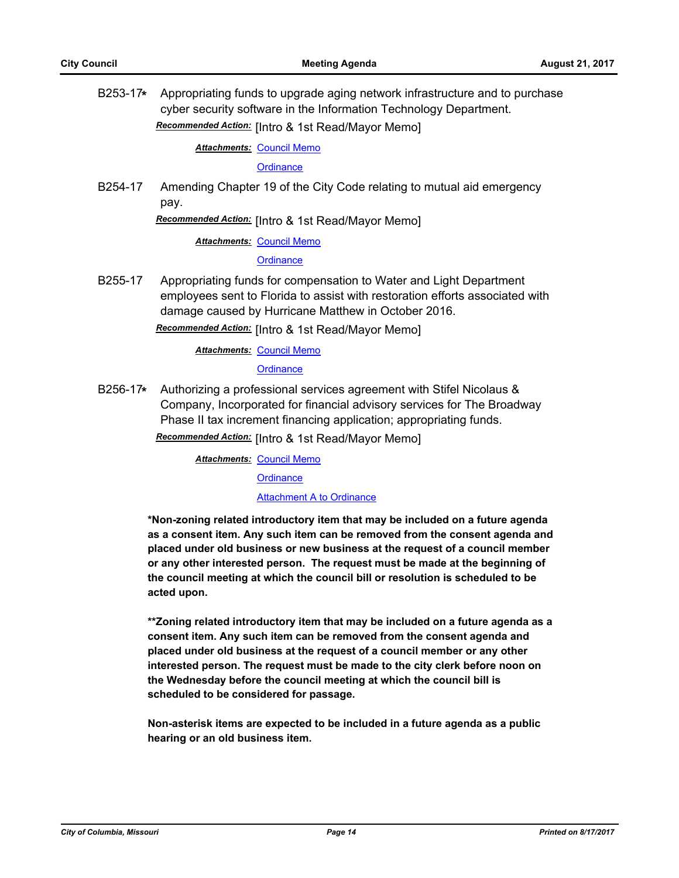B253-17**\*** Appropriating funds to upgrade aging network infrastructure and to purchase cyber security software in the Information Technology Department. *Recommended Action:* [Intro & 1st Read/Mayor Memo]

**Attachments: [Council Memo](http://gocolumbiamo.legistar.com/gateway.aspx?M=F&ID=4cb3dcd6-77be-41c9-82c6-59c5b86df40c.docx)** 

**[Ordinance](http://gocolumbiamo.legistar.com/gateway.aspx?M=F&ID=cabed9f9-6ba6-4e5e-8392-fa7a2ff7f6de.doc)** 

B254-17 Amending Chapter 19 of the City Code relating to mutual aid emergency pay.

*Recommended Action:* [Intro & 1st Read/Mayor Memo]

**Attachments: [Council Memo](http://gocolumbiamo.legistar.com/gateway.aspx?M=F&ID=3adfbad4-d8bb-4692-a8aa-9f0875597f4f.docx)** 

**[Ordinance](http://gocolumbiamo.legistar.com/gateway.aspx?M=F&ID=def1254f-ae8f-4c7d-befa-bba104ce684f.doc)** 

B255-17 Appropriating funds for compensation to Water and Light Department employees sent to Florida to assist with restoration efforts associated with damage caused by Hurricane Matthew in October 2016.

*Recommended Action:* [Intro & 1st Read/Mayor Memo]

**Attachments: [Council Memo](http://gocolumbiamo.legistar.com/gateway.aspx?M=F&ID=4d64d5c9-f332-4726-9bb5-d1dba6249156.docx)** 

**[Ordinance](http://gocolumbiamo.legistar.com/gateway.aspx?M=F&ID=7ec89842-45a8-4362-af99-5a6b70e3cf8f.doc)** 

B256-17**\*** Authorizing a professional services agreement with Stifel Nicolaus & Company, Incorporated for financial advisory services for The Broadway Phase II tax increment financing application; appropriating funds.

*Recommended Action:* [Intro & 1st Read/Mayor Memo]

**Attachments: [Council Memo](http://gocolumbiamo.legistar.com/gateway.aspx?M=F&ID=cd8c630f-edc5-4b27-967d-1842ae4fa918.docx)** 

**[Ordinance](http://gocolumbiamo.legistar.com/gateway.aspx?M=F&ID=1d55f293-8480-4419-aa32-10c9063dc1fb.doc)** 

[Attachment A to Ordinance](http://gocolumbiamo.legistar.com/gateway.aspx?M=F&ID=68a9f137-5e37-40b1-bfb2-4f47cadc1a6b.pdf)

**\*Non-zoning related introductory item that may be included on a future agenda as a consent item. Any such item can be removed from the consent agenda and placed under old business or new business at the request of a council member or any other interested person. The request must be made at the beginning of the council meeting at which the council bill or resolution is scheduled to be acted upon.** 

**\*\*Zoning related introductory item that may be included on a future agenda as a consent item. Any such item can be removed from the consent agenda and placed under old business at the request of a council member or any other interested person. The request must be made to the city clerk before noon on the Wednesday before the council meeting at which the council bill is scheduled to be considered for passage.**

**Non-asterisk items are expected to be included in a future agenda as a public hearing or an old business item.**